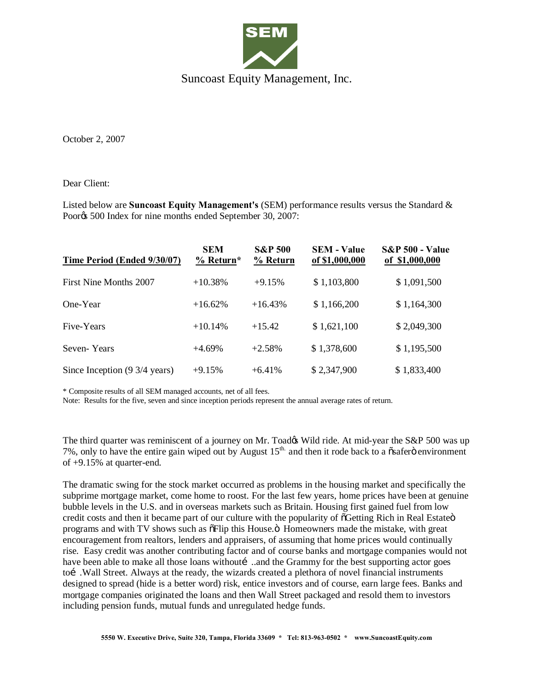

Suncoast Equity Management, Inc.

October 2, 2007

Dear Client:

Listed below are **Suncoast Equity Management's** (SEM) performance results versus the Standard & Poor $\&$  500 Index for nine months ended September 30, 2007:

| Time Period (Ended 9/30/07)   | <b>SEM</b><br>$%$ Return* | <b>S&amp;P 500</b><br>% Return | <b>SEM - Value</b><br>of \$1,000,000 | <b>S&amp;P 500 - Value</b><br>of \$1,000,000 |
|-------------------------------|---------------------------|--------------------------------|--------------------------------------|----------------------------------------------|
| First Nine Months 2007        | $+10.38%$                 | $+9.15%$                       | \$1,103,800                          | \$1,091,500                                  |
| One-Year                      | $+16.62%$                 | $+16.43%$                      | \$1,166,200                          | \$1,164,300                                  |
| Five-Years                    | $+10.14%$                 | $+15.42$                       | \$1,621,100                          | \$2,049,300                                  |
| Seven-Years                   | $+4.69%$                  | $+2.58%$                       | \$1,378,600                          | \$1,195,500                                  |
| Since Inception (9 3/4 years) | $+9.15%$                  | $+6.41%$                       | \$2,347,900                          | \$1,833,400                                  |

\* Composite results of all SEM managed accounts, net of all fees.

Note: Results for the five, seven and since inception periods represent the annual average rates of return.

The third quarter was reminiscent of a journey on Mr. Toad& Wild ride. At mid-year the S&P 500 was up 7%, only to have the entire gain wiped out by August  $15<sup>th</sup>$  and then it rode back to a  $\ddot{\text{o}}$  safer $\ddot{\text{o}}$  environment of +9.15% at quarter-end.

The dramatic swing for the stock market occurred as problems in the housing market and specifically the subprime mortgage market, come home to roost. For the last few years, home prices have been at genuine bubble levels in the U.S. and in overseas markets such as Britain. Housing first gained fuel from low credit costs and then it became part of our culture with the popularity of  $\delta$ Getting Rich in Real Estate $\ddot{o}$ programs and with TV shows such as  $\delta$ Flip this House. $\ddot{o}$  Homeowners made the mistake, with great encouragement from realtors, lenders and appraisers, of assuming that home prices would continually rise. Easy credit was another contributing factor and of course banks and mortgage companies would not have been able to make all those loans without …and the Grammy for the best supporting actor goes to i. Wall Street. Always at the ready, the wizards created a plethora of novel financial instruments designed to spread (hide is a better word) risk, entice investors and of course, earn large fees. Banks and mortgage companies originated the loans and then Wall Street packaged and resold them to investors including pension funds, mutual funds and unregulated hedge funds.